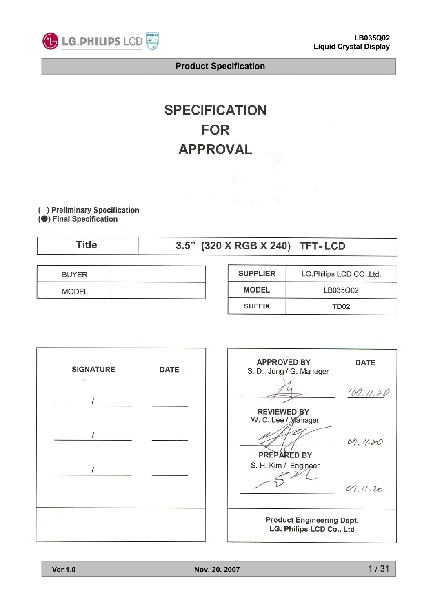

# **SPECIFICATION FOR APPROVAL**

( ) Preliminary Specification (<sup>6</sup>) Final Specification

| Title | 3.5" (320 X RGB X 240) TFT-LCD |
|-------|--------------------------------|
|-------|--------------------------------|

| <b>BUYER</b> | the property of the control of the company's control to the company's |
|--------------|-----------------------------------------------------------------------|
| <b>MODEL</b> |                                                                       |

| <b>SUPPLIER</b><br>LG.Philips LCD CO., Ltd. |                  |  |  |  |
|---------------------------------------------|------------------|--|--|--|
| <b>MODEL</b><br>LB035Q02                    |                  |  |  |  |
| <b>SUFFIX</b>                               | TD <sub>02</sub> |  |  |  |



| <b>APPROVED BY</b><br>S. D. Jung / G. Manager                | <b>DATE</b> |  |  |  |  |
|--------------------------------------------------------------|-------------|--|--|--|--|
|                                                              | 101.11.20   |  |  |  |  |
| <b>REVIEWED BY</b><br>W. C. Lee / Manager                    |             |  |  |  |  |
| PREPARED BY                                                  | 07.11.20    |  |  |  |  |
| S. H. Kim / Enginger                                         |             |  |  |  |  |
|                                                              | 07.11.20    |  |  |  |  |
| <b>Product Engineering Dept.</b><br>LG. Philips LCD Co., Ltd |             |  |  |  |  |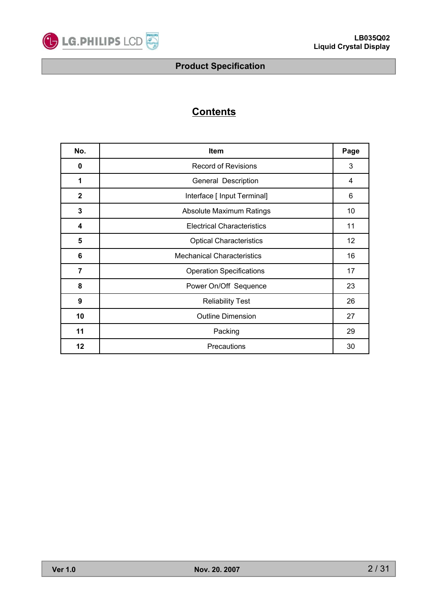

# **Contents**

| No.            | Item                              |    |  |  |  |  |  |
|----------------|-----------------------------------|----|--|--|--|--|--|
| 0              | <b>Record of Revisions</b>        | 3  |  |  |  |  |  |
| 1              | General Description               | 4  |  |  |  |  |  |
| $\mathbf{2}$   | Interface [ Input Terminal]       | 6  |  |  |  |  |  |
| 3              | <b>Absolute Maximum Ratings</b>   | 10 |  |  |  |  |  |
| 4              | <b>Electrical Characteristics</b> | 11 |  |  |  |  |  |
| 5              | <b>Optical Characteristics</b>    | 12 |  |  |  |  |  |
| 6              | <b>Mechanical Characteristics</b> | 16 |  |  |  |  |  |
| $\overline{7}$ | <b>Operation Specifications</b>   | 17 |  |  |  |  |  |
| 8              | Power On/Off Sequence             | 23 |  |  |  |  |  |
| 9              | <b>Reliability Test</b>           | 26 |  |  |  |  |  |
| 10             | <b>Outline Dimension</b>          | 27 |  |  |  |  |  |
| 11             | Packing                           | 29 |  |  |  |  |  |
| 12             | Precautions                       | 30 |  |  |  |  |  |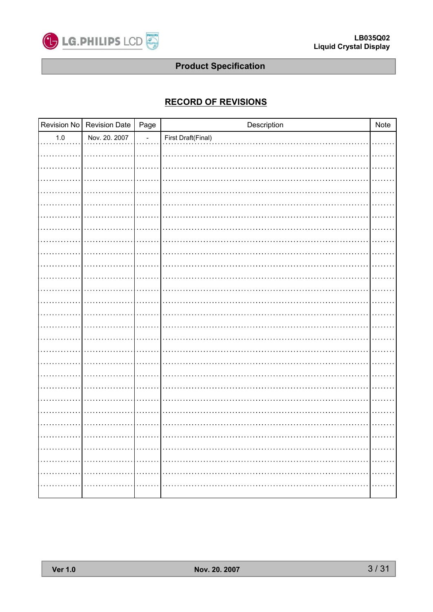

# **RECORD OF REVISIONS**

|         | Revision No Revision Date | Page       | Description        | Note                                                  |
|---------|---------------------------|------------|--------------------|-------------------------------------------------------|
| $1.0\,$ | Nov. 20. 2007             | $\sim$     | First Draft(Final) |                                                       |
|         |                           |            |                    |                                                       |
|         |                           |            |                    |                                                       |
|         |                           |            |                    |                                                       |
|         |                           |            |                    |                                                       |
|         |                           |            |                    |                                                       |
|         |                           |            |                    |                                                       |
|         |                           |            |                    |                                                       |
|         |                           |            |                    |                                                       |
|         |                           |            |                    |                                                       |
|         |                           |            |                    |                                                       |
|         |                           |            |                    |                                                       |
|         |                           |            |                    |                                                       |
|         |                           |            |                    |                                                       |
|         |                           |            |                    |                                                       |
|         |                           |            |                    |                                                       |
|         |                           |            |                    |                                                       |
|         |                           |            |                    |                                                       |
|         |                           |            |                    |                                                       |
|         |                           |            |                    |                                                       |
|         |                           |            |                    |                                                       |
|         |                           |            |                    |                                                       |
|         |                           |            |                    |                                                       |
|         |                           |            |                    |                                                       |
|         |                           |            |                    |                                                       |
|         |                           |            |                    |                                                       |
| .       | .                         | .          |                    | .                                                     |
| .       |                           |            |                    | $\alpha$ , and $\alpha$ , and $\alpha$ , and $\alpha$ |
|         |                           |            |                    | .                                                     |
| .       | .                         | . <b>.</b> |                    | .                                                     |
|         |                           |            |                    |                                                       |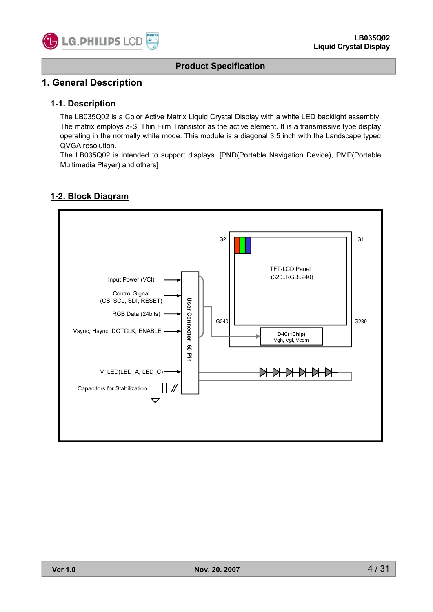

### **1. General Description**

#### **1-1. Description**

The LB035Q02 is a Color Active Matrix Liquid Crystal Display with a white LED backlight assembly. The matrix employs a-Si Thin Film Transistor as the active element. It is a transmissive type display operating in the normally white mode. This module is a diagonal 3.5 inch with the Landscape typed QVGA resolution.

The LB035Q02 is intended to support displays. [PND(Portable Navigation Device), PMP(Portable Multimedia Player) and others]

#### **1-2. Block Diagram**

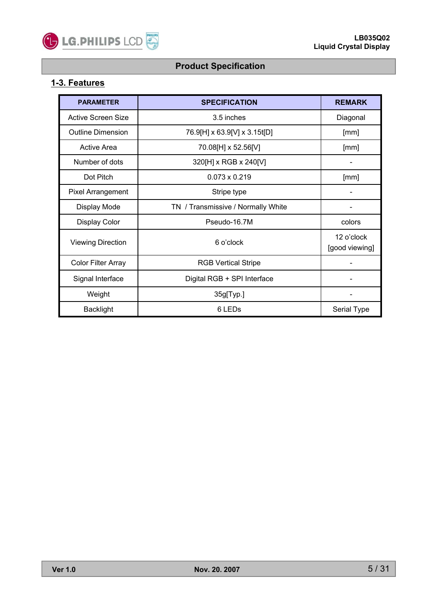

# **1-3. Features**

| <b>PARAMETER</b>          | <b>SPECIFICATION</b>               | <b>REMARK</b> |
|---------------------------|------------------------------------|---------------|
| Active Screen Size        | 3.5 inches                         | Diagonal      |
| <b>Outline Dimension</b>  | 76.9[H] x 63.9[V] x 3.15t[D]       | [mm]          |
| Active Area               | 70.08[H] x 52.56[V]                | [mm]          |
| Number of dots            | 320[H] x RGB x 240[V]              |               |
| Dot Pitch                 | $0.073 \times 0.219$               | [mm]          |
| <b>Pixel Arrangement</b>  | Stripe type                        |               |
| Display Mode              | TN / Transmissive / Normally White |               |
| Display Color             | Pseudo-16.7M                       | colors        |
| <b>Viewing Direction</b>  | 6 o'clock                          |               |
| <b>Color Filter Array</b> | <b>RGB Vertical Stripe</b>         |               |
| Signal Interface          | Digital RGB + SPI Interface        |               |
| Weight                    | 35g[Typ.]                          |               |
| <b>Backlight</b>          | 6 LED <sub>s</sub>                 | Serial Type   |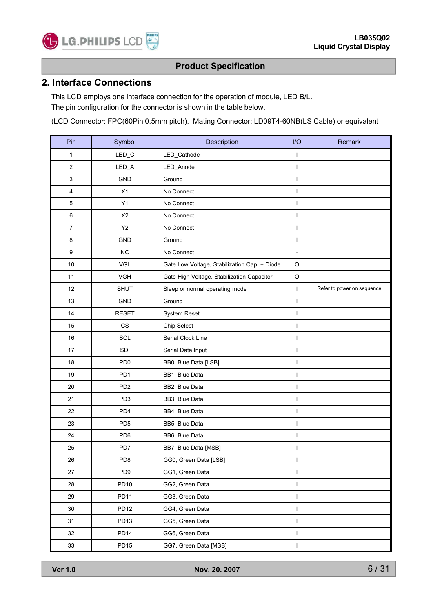

#### **2. Interface Connections**

This LCD employs one interface connection for the operation of module, LED B/L. The pin configuration for the connector is shown in the table below.

(LCD Connector: FPC(60Pin 0.5mm pitch), Mating Connector: LD09T4-60NB(LS Cable) or equivalent

| Pin            | Symbol           | Description                                  |                          | Remark                     |
|----------------|------------------|----------------------------------------------|--------------------------|----------------------------|
| 1              | $LED_C$          | LED_Cathode                                  |                          |                            |
| 2              | LED_A            | LED_Anode                                    | $\mathbf{I}$             |                            |
| 3              | GND              | Ground                                       | $\mathbf{I}$             |                            |
| 4              | X1               | No Connect                                   | $\mathbf{I}$             |                            |
| 5              | Y1               | No Connect                                   | $\mathbf{I}$             |                            |
| 6              | X <sub>2</sub>   | No Connect                                   | $\mathbf{I}$             |                            |
| $\overline{7}$ | Y2               | No Connect                                   | $\mathbf{I}$             |                            |
| 8              | <b>GND</b>       | Ground                                       | $\mathbf{I}$             |                            |
| 9              | <b>NC</b>        | No Connect                                   | $\overline{\phantom{a}}$ |                            |
| $10$           | VGL              | Gate Low Voltage, Stabilization Cap. + Diode | $\circ$                  |                            |
| 11             | <b>VGH</b>       | Gate High Voltage, Stabilization Capacitor   | $\circ$                  |                            |
| 12             | <b>SHUT</b>      | Sleep or normal operating mode               | $\mathbf{I}$             | Refer to power on sequence |
| 13             | <b>GND</b>       | Ground                                       |                          |                            |
| 14             | <b>RESET</b>     | System Reset                                 |                          |                            |
| 15             | CS               | Chip Select                                  |                          |                            |
| 16             | <b>SCL</b>       | Serial Clock Line                            |                          |                            |
| 17             | <b>SDI</b>       | Serial Data Input                            |                          |                            |
| 18             | PD <sub>0</sub>  | BB0, Blue Data [LSB]                         |                          |                            |
| 19             | PD <sub>1</sub>  | BB1, Blue Data                               |                          |                            |
| 20             | PD <sub>2</sub>  | BB2, Blue Data                               |                          |                            |
| 21             | PD <sub>3</sub>  | BB3, Blue Data                               |                          |                            |
| 22             | PD <sub>4</sub>  | BB4, Blue Data                               |                          |                            |
| 23             | PD <sub>5</sub>  | BB5, Blue Data                               | $\mathsf I$              |                            |
| 24             | PD <sub>6</sub>  | BB6, Blue Data                               | $\mathbf{I}$             |                            |
| 25             | PD7              | BB7, Blue Data [MSB]                         | $\mathbf{I}$             |                            |
| 26             | PD8              | GG0, Green Data [LSB]                        | $\mathbf{I}$             |                            |
| 27             | PD <sub>9</sub>  | GG1, Green Data                              | $\mathbf{I}$             |                            |
| 28             | PD10             | GG2, Green Data                              | $\mathbf{I}$             |                            |
| 29             | PD11             | GG3, Green Data                              | $\mathbf{I}$             |                            |
| 30             | PD <sub>12</sub> | GG4, Green Data                              | $\mathbf{I}$             |                            |
| 31             | PD <sub>13</sub> | GG5, Green Data                              | $\mathbf{I}$             |                            |
| 32             | PD <sub>14</sub> | GG6, Green Data                              | $\mathbf{I}$             |                            |
| 33             | PD <sub>15</sub> | GG7, Green Data [MSB]                        | $\mathbf{I}$             |                            |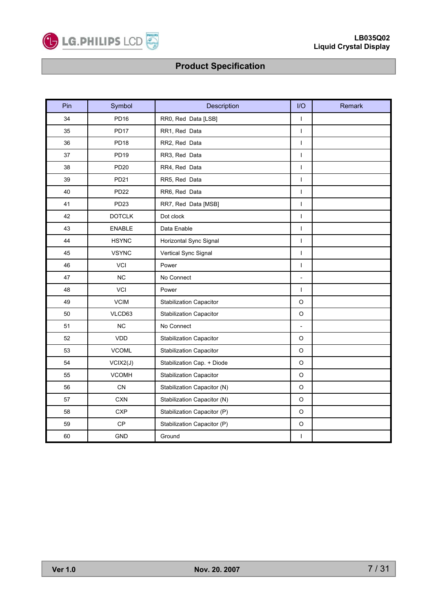

| Pin | Symbol           | Description                                   |                          | Remark |
|-----|------------------|-----------------------------------------------|--------------------------|--------|
| 34  | <b>PD16</b>      | RR0, Red Data [LSB]                           | $\overline{\phantom{a}}$ |        |
| 35  | PD17             | RR1, Red Data                                 | $\overline{1}$           |        |
| 36  | PD <sub>18</sub> | RR2, Red Data                                 | $\overline{1}$           |        |
| 37  | <b>PD19</b>      | RR3, Red Data                                 | $\overline{\phantom{a}}$ |        |
| 38  | <b>PD20</b>      | RR4, Red Data                                 | $\mathsf{I}$             |        |
| 39  | PD21             | RR5, Red Data                                 | $\overline{1}$           |        |
| 40  | <b>PD22</b>      | RR6, Red Data                                 | $\overline{\phantom{a}}$ |        |
| 41  | PD <sub>23</sub> | RR7, Red Data [MSB]                           | $\mathsf{I}$             |        |
| 42  | <b>DOTCLK</b>    | Dot clock                                     | $\overline{1}$           |        |
| 43  | <b>ENABLE</b>    | Data Enable                                   | $\overline{\phantom{a}}$ |        |
| 44  | <b>HSYNC</b>     | Horizontal Sync Signal                        |                          |        |
| 45  | <b>VSYNC</b>     | Vertical Sync Signal                          |                          |        |
| 46  | <b>VCI</b>       | Power                                         |                          |        |
| 47  | <b>NC</b>        | No Connect                                    |                          |        |
| 48  | VCI              | Power                                         |                          |        |
| 49  | <b>VCIM</b>      | <b>Stabilization Capacitor</b>                |                          |        |
| 50  | VLCD63           | $\mathsf O$<br><b>Stabilization Capacitor</b> |                          |        |
| 51  | <b>NC</b>        | No Connect                                    |                          |        |
| 52  | VDD              | <b>Stabilization Capacitor</b>                | $\circ$                  |        |
| 53  | <b>VCOML</b>     | <b>Stabilization Capacitor</b>                | $\mathsf O$              |        |
| 54  | VCIX2(J)         | Stabilization Cap. + Diode                    | $\mathsf O$              |        |
| 55  | <b>VCOMH</b>     | <b>Stabilization Capacitor</b>                | O                        |        |
| 56  | CN               | Stabilization Capacitor (N)                   | $\circ$                  |        |
| 57  | <b>CXN</b>       | Stabilization Capacitor (N)                   | $\mathsf O$              |        |
| 58  | <b>CXP</b>       | Stabilization Capacitor (P)                   | O                        |        |
| 59  | CP               | Stabilization Capacitor (P)                   | $\mathsf O$              |        |
| 60  | <b>GND</b>       | Ground                                        | $\overline{\phantom{a}}$ |        |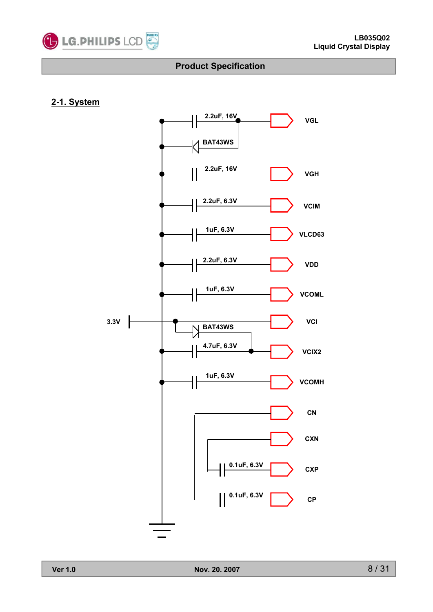

### **2-1. System**

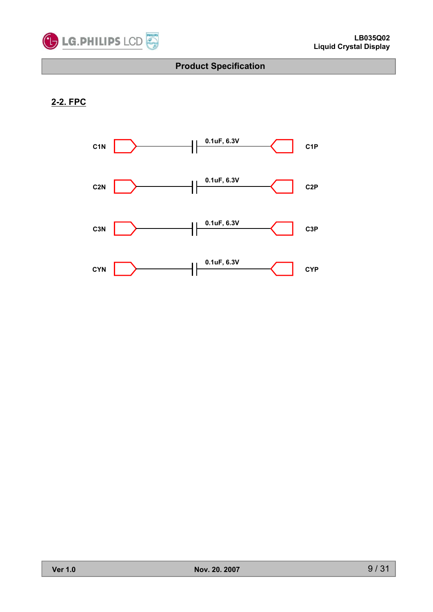

# **2-2. FPC**

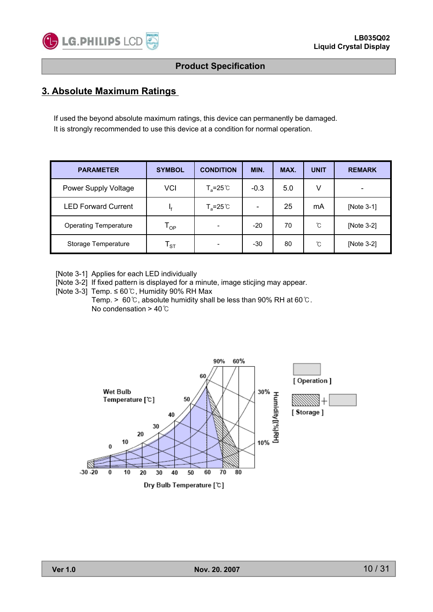

# **3. Absolute Maximum Ratings 3. Absolute Maximum**

If used the beyond absolute maximum ratings, this device can permanently be damaged. It is strongly recommended to use this device at a condition for normal operation.

| <b>PARAMETER</b>             | <b>SYMBOL</b>              | <b>CONDITION</b>    | MIN.           | MAX. | <b>UNIT</b> | <b>REMARK</b> |
|------------------------------|----------------------------|---------------------|----------------|------|-------------|---------------|
| Power Supply Voltage         | VCI                        | $T_a = 25^{\circ}C$ | $-0.3$         | 5.0  | V           |               |
| <b>LED Forward Current</b>   | ۱£                         | $T_a = 25^{\circ}$  | $\blacksquare$ | 25   | mA          | [Note 3-1]    |
| <b>Operating Temperature</b> | $\mathsf{T}_{\mathsf{OP}}$ |                     | $-20$          | 70   | °C          | [Note 3-2]    |
| Storage Temperature          | ${\sf T}_{\texttt{ST}}$    |                     | -30            | 80   | ົໂ          | [Note 3-2]    |

[Note 3-1] Applies for each LED individually

[Note 3-2] If fixed pattern is displayed for a minute, image sticing may appear.

[Note 3-3] Temp.  $\leq 60^{\circ}$ C. Humidity 90% RH Max

Temp. > 60°C, absolute humidity shall be less than 90% RH at 60°C. No condensation  $>$  40 $°C$ 

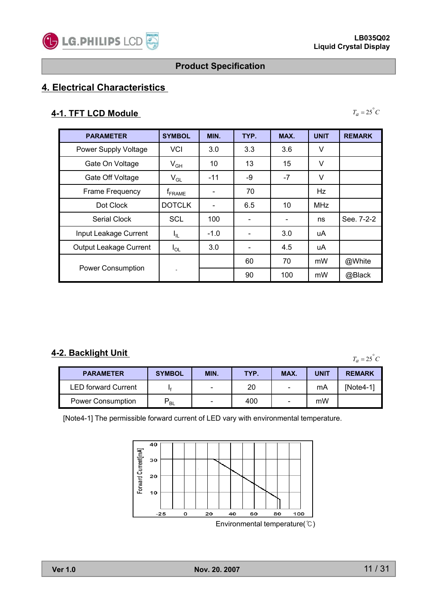

 $T_a = 25^\circ C$ 

# **Product Specification**

# **4. Electrical Characteristics**

#### **4-1. TFT LCD Module**

| <b>PARAMETER</b>            | <b>SYMBOL</b>                 | MIN.                     | TYP. | MAX.                     | <b>UNIT</b> | <b>REMARK</b> |
|-----------------------------|-------------------------------|--------------------------|------|--------------------------|-------------|---------------|
| <b>Power Supply Voltage</b> | <b>VCI</b>                    | 3.0                      | 3.3  | 3.6                      | V           |               |
| Gate On Voltage             | $V_{GH}$                      | 10                       | 13   | 15                       | V           |               |
| Gate Off Voltage            | $V_{GL}$                      | $-11$                    | -9   | $-7$                     | V           |               |
| Frame Frequency             | $\mathsf{f}_{\mathsf{FRAME}}$ | $\overline{\phantom{0}}$ | 70   |                          | Hz          |               |
| Dot Clock                   | <b>DOTCLK</b>                 |                          | 6.5  | 10                       | <b>MHz</b>  |               |
| Serial Clock                | <b>SCL</b>                    | 100                      |      | $\overline{\phantom{a}}$ | ns          | See. 7-2-2    |
| Input Leakage Current       | $I_{\rm IL}$                  | $-1.0$                   |      | 3.0                      | uA          |               |
| Output Leakage Current      | $I_{OL}$                      | 3.0                      |      | 4.5                      | uA          |               |
| <b>Power Consumption</b>    |                               |                          | 60   | 70                       | mW          | @White        |
|                             |                               |                          | 90   | 100                      | mW          | @Black        |

### **4-2. Backlight Unit**

 $T_a = 25^\circ C$ 

| <b>PARAMETER</b>           | <b>SYMBOL</b> | MIN. | TYP. | MAX.                     | <b>UNIT</b> | <b>REMARK</b> |
|----------------------------|---------------|------|------|--------------------------|-------------|---------------|
| <b>LED forward Current</b> |               |      | 20   | $\overline{\phantom{0}}$ | mA          | INote4-11     |
| <b>Power Consumption</b>   | - BL          | -    | 400  | $\overline{\phantom{0}}$ | mW          |               |

[Note4-1] The permissible forward current of LED vary with environmental temperature.

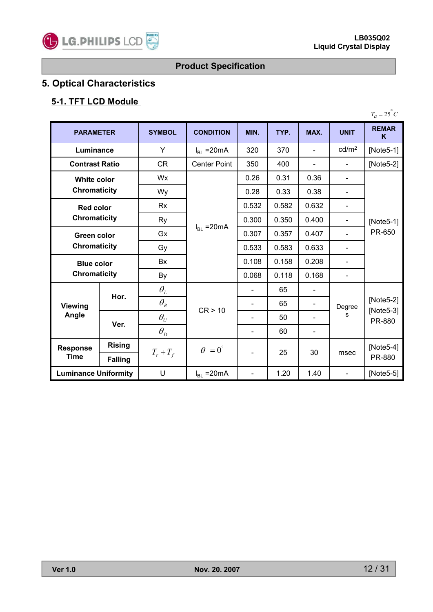

# **5. Optical Characteristics**

# **5-1. TFT LCD Module**

| <b>PARAMETER</b>                   |                | <b>SYMBOL</b>                   | <b>CONDITION</b>       | MIN.  | TYP.  | MAX.           | <b>UNIT</b>       | <b>REMAR</b><br>K                    |
|------------------------------------|----------------|---------------------------------|------------------------|-------|-------|----------------|-------------------|--------------------------------------|
| Luminance                          |                | Y                               | $I_{BL}$ = 20 mA       | 320   | 370   | $\blacksquare$ | cd/m <sup>2</sup> | [Note $5-1$ ]                        |
| <b>Contrast Ratio</b>              |                | <b>CR</b>                       | <b>Center Point</b>    | 350   | 400   | $\blacksquare$ | $\blacksquare$    | [Note $5-2$ ]                        |
| <b>White color</b>                 |                | <b>Wx</b>                       |                        | 0.26  | 0.31  | 0.36           | ÷.                |                                      |
| <b>Chromaticity</b>                |                | Wy                              |                        | 0.28  | 0.33  | 0.38           |                   |                                      |
| <b>Red color</b>                   |                | <b>Rx</b>                       |                        | 0.532 | 0.582 | 0.632          | ÷.                |                                      |
| <b>Chromaticity</b>                |                | Ry                              | $I_{BL}$ = 20 mA       | 0.300 | 0.350 | 0.400          |                   | [Note $5-1$ ]<br>PR-650              |
| Green color<br><b>Chromaticity</b> |                | Gx                              |                        | 0.307 | 0.357 | 0.407          |                   |                                      |
|                                    |                | Gy                              |                        | 0.533 | 0.583 | 0.633          |                   |                                      |
| <b>Blue color</b>                  |                | <b>Bx</b>                       |                        | 0.108 | 0.158 | 0.208          |                   |                                      |
| <b>Chromaticity</b>                |                | By                              |                        | 0.068 | 0.118 | 0.168          |                   |                                      |
|                                    |                | $\theta_{\scriptscriptstyle L}$ | CR > 10                |       | 65    |                | Degree<br>s       |                                      |
| <b>Viewing</b>                     | Hor.           | $\theta_{\scriptscriptstyle R}$ |                        |       | 65    |                |                   | $[Note5-2]$<br>$[Note5-3]$<br>PR-880 |
| Angle                              |                | $\theta_U$                      |                        |       | 50    |                |                   |                                      |
|                                    | Ver.           | $\theta_{\scriptscriptstyle D}$ |                        |       | 60    |                |                   |                                      |
| <b>Rising</b><br><b>Response</b>   |                |                                 | $\theta = 0^{\degree}$ |       |       |                |                   | [Note $5-4$ ]                        |
| <b>Time</b>                        | <b>Falling</b> | $T_r + T_f$                     |                        |       | 25    | 30             | msec              | PR-880                               |
| <b>Luminance Uniformity</b>        |                | U                               | $I_{BL}$ = 20 mA       |       | 1.20  | 1.40           | $\blacksquare$    | $[Note5-5]$                          |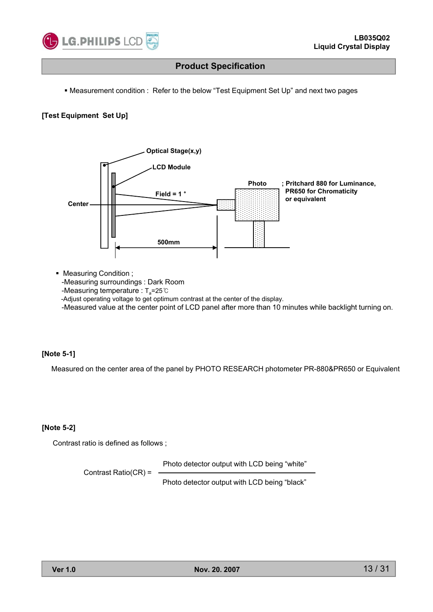

• Measurement condition : Refer to the below "Test Equipment Set Up" and next two pages

#### **[Test Equipment Set Up]**



- Measuring Condition ;
	- -Measuring surroundings : Dark Room
	- -Measuring temperature :  $T_a = 25^{\circ}$ C

-Adjust operating voltage to get optimum contrast at the center of the display.

-Measured value at the center point of LCD panel after more than 10 minutes while backlight turning on.

#### **[Note 5-1]**

Measured on the center area of the panel by PHOTO RESEARCH photometer PR-880&PR650 or Equivalent

#### **[Note 5-2]**

Contrast ratio is defined as follows ;

Photo detector output with LCD being "white"

Contrast Ratio(CR) =

Photo detector output with LCD being "black"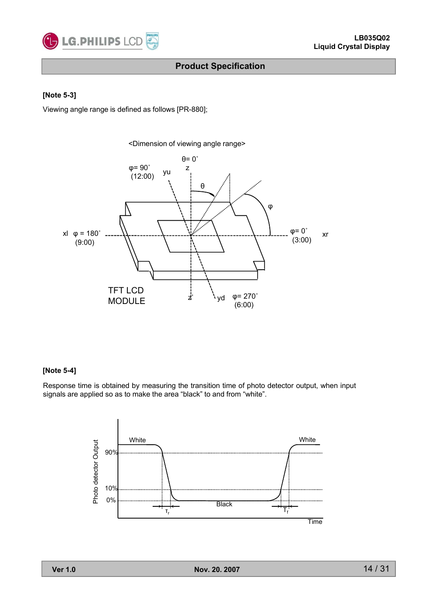

#### **[N t 5 o e-3]**

Viewing angle range is defined as follows [PR-880];



#### **[Note 5-4]**

Response time is obtained by measuring the transition time of photo detector output, when input signals are applied so as to make the area "black" to and from "white".

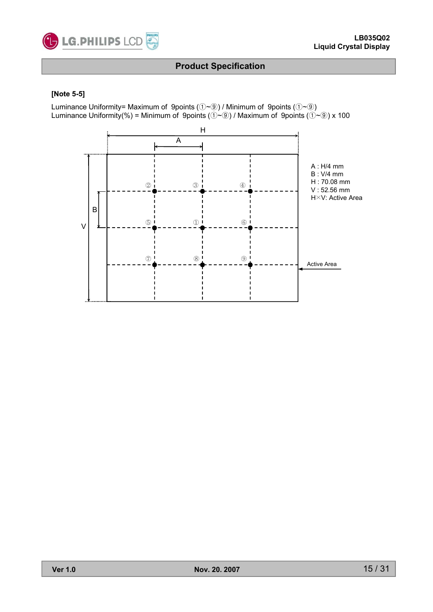

#### **[Note 5 [Note 5-5]**

Luminance Uniformity= Maximum of 9points  $(\mathbb{O} \sim \mathbb{Q})$  / Minimum of 9points  $(\mathbb{O} \sim \mathbb{Q})$ Luminance Uniformity(%) = Minimum of 9points ( $\hat{U}$ ~ $\hat{U}$ ) / Maximum of 9points ( $\hat{U}$ ~ $\hat{U}$ ) x 100

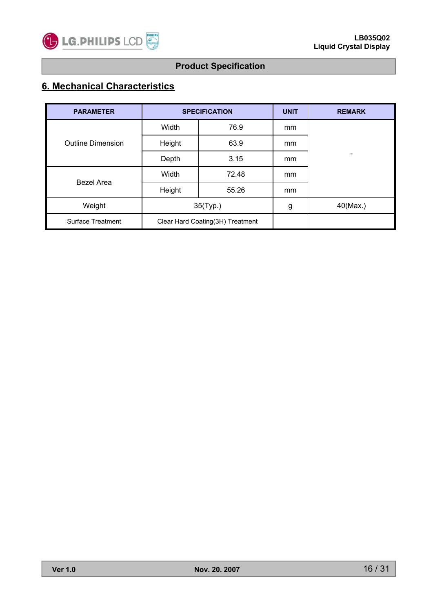

# **6. Mechanical Characteristics**

| <b>PARAMETER</b>         |                                  | <b>SPECIFICATION</b> | <b>UNIT</b> | <b>REMARK</b>                |
|--------------------------|----------------------------------|----------------------|-------------|------------------------------|
| <b>Outline Dimension</b> | Width                            | 76.9                 | mm          |                              |
|                          | Height                           | 63.9                 | mm          |                              |
|                          | Depth                            | 3.15                 | mm          | $\qquad \qquad \blacksquare$ |
|                          | Width                            | 72.48                | mm          |                              |
| Bezel Area               | Height                           | 55.26                | mm          |                              |
| Weight                   | 35(Typ.)                         |                      | g           | 40(Max.)                     |
| <b>Surface Treatment</b> | Clear Hard Coating(3H) Treatment |                      |             |                              |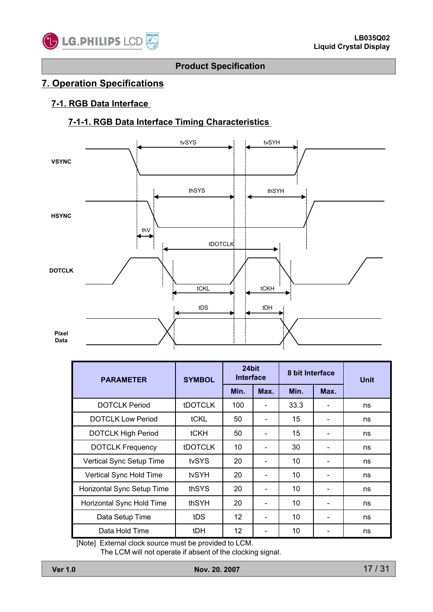

# **7. Operation Specifications**

#### **7-1. RGB Data Interface**

# **7-1-1. RGB Data Interface Timing Characteristics**



| <b>PARAMETER</b>           | <b>SYMBOL</b>  | 24bit<br><b>Interface</b> |                          | 8 bit Interface |      | <b>Unit</b> |
|----------------------------|----------------|---------------------------|--------------------------|-----------------|------|-------------|
|                            |                | Min.                      | Max.                     | Min.            | Max. |             |
| <b>DOTCLK Period</b>       | <b>tDOTCLK</b> | 100                       |                          | 33.3            |      | ns          |
| <b>DOTCLK Low Period</b>   | tCKL           | 50                        |                          | 15              |      | ns          |
| <b>DOTCLK High Period</b>  | <b>tCKH</b>    | 50                        |                          | 15              |      | ns          |
| <b>DOTCLK Frequency</b>    | <b>tDOTCLK</b> | 10                        |                          | 30              |      | ns          |
| Vertical Sync Setup Time   | tvSYS          | 20                        | $\overline{\phantom{a}}$ | 10              |      | ns          |
| Vertical Sync Hold Time    | tvSYH          | 20                        |                          | 10              |      | ns          |
| Horizontal Sync Setup Time | thSYS          | 20                        |                          | 10              |      | ns          |
| Horizontal Sync Hold Time  | thSYH          | 20                        |                          | 10              |      | ns          |
| Data Setup Time            | tDS            | $12 \overline{ }$         |                          | 10              |      | ns          |
| Data Hold Time             | tDH            | 12 <sup>2</sup>           |                          | 10              |      | ns          |

[Note] External clock source must be provided to LCM.

The LCM will not operate if absent of the clocking signal.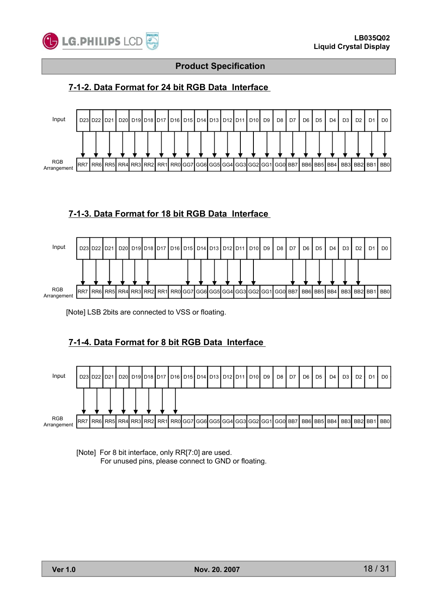

# **7-1-2. Data Format for 24 bit RGB Data Interface**



### **7-1-3. Data Format for 18 bit RGB Data Interface**



[Note] LSB 2bits are connected to VSS or floating.

# **7-1-4. Data Format for 8 bit RGB Data Interface**



[Note] For 8 bit interface, only RR[7:0] are used. For unused pins, please connect to GND or floating.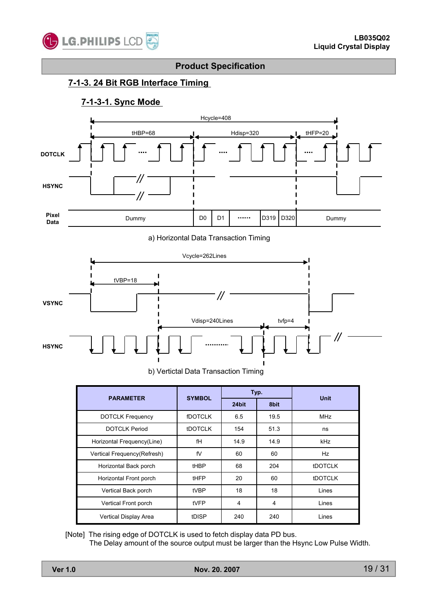

### **7-1-3. 24 Bit RGB Interface Timing**

### **7-1-3-1. Sync Mode**



a) Horizontal Data Transaction Timing



b) Vertictal Data Transaction Timing

| <b>PARAMETER</b>            | <b>SYMBOL</b>  | Typ.  |      | <b>Unit</b>    |  |
|-----------------------------|----------------|-------|------|----------------|--|
|                             |                | 24bit | 8bit |                |  |
| <b>DOTCLK Frequency</b>     | <b>fDOTCLK</b> | 6.5   | 19.5 | <b>MHz</b>     |  |
| <b>DOTCLK Period</b>        | <b>tDOTCLK</b> | 154   | 51.3 | ns             |  |
| Horizontal Frequency(Line)  | fH             | 14.9  | 14.9 | kHz            |  |
| Vertical Frequency(Refresh) | fV             | 60    | 60   | Hz             |  |
| Horizontal Back porch       | tHBP           | 68    | 204  | <b>tDOTCLK</b> |  |
| Horizontal Front porch      | tHFP           | 20    | 60   | <b>tDOTCLK</b> |  |
| Vertical Back porch         | tVBP           | 18    | 18   | Lines          |  |
| Vertical Front porch        | tVFP           | 4     | 4    | Lines          |  |
| Vertical Display Area       | tDISP          | 240   | 240  | Lines          |  |

[Note] The rising edge of DOTCLK is used to fetch display data PD bus.

The Delay amount of the source output must be larger than the Hsync Low Pulse Width.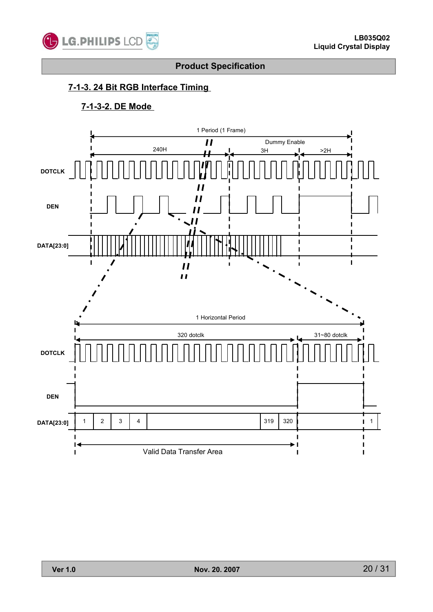

# **7-1-3. 24 Bit RGB Interface Timing**

# **7-1-3-2. DE Mode**

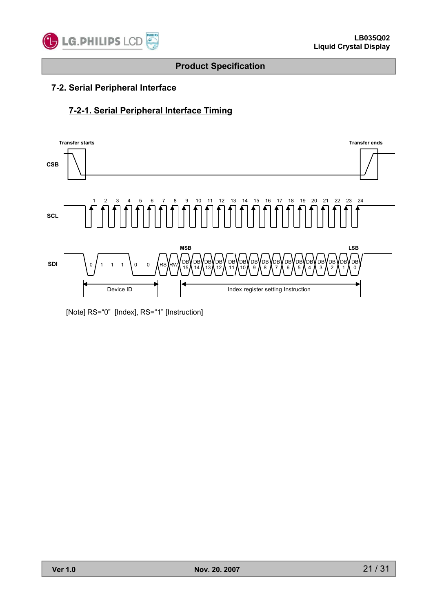![](_page_20_Picture_0.jpeg)

# **7-2. Serial Peripheral Interface**

### **7-2-1. Serial Peripheral Interface Timing**

![](_page_20_Figure_5.jpeg)

[Note] RS="0" [Index], RS="1" [Instruction]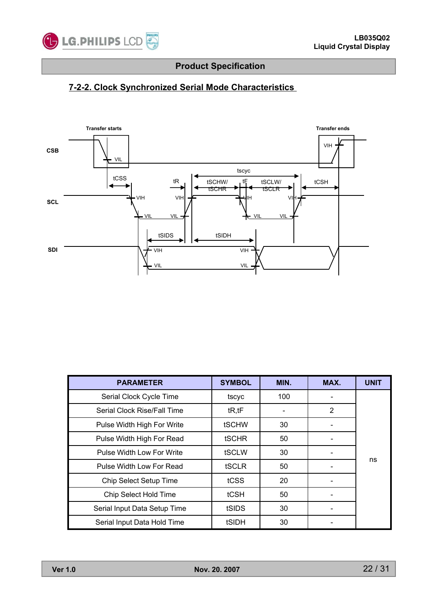![](_page_21_Picture_0.jpeg)

# **7-2-2. Clock Synchronized Serial Mode Characteristics**

![](_page_21_Figure_4.jpeg)

| <b>PARAMETER</b>             | <b>SYMBOL</b> | MIN. | MAX. | <b>UNIT</b> |
|------------------------------|---------------|------|------|-------------|
| Serial Clock Cycle Time      | tscyc         | 100  |      |             |
| Serial Clock Rise/Fall Time  | tR, tF        |      | 2    |             |
| Pulse Width High For Write   | <b>tSCHW</b>  | 30   |      |             |
| Pulse Width High For Read    | <b>tSCHR</b>  | 50   |      |             |
| Pulse Width Low For Write    | tSCLW         | 30   |      |             |
| Pulse Width Low For Read     | tSCLR         | 50   |      | ns          |
| Chip Select Setup Time       | tCSS          | 20   |      |             |
| Chip Select Hold Time        | tCSH          | 50   |      |             |
| Serial Input Data Setup Time | tSIDS         | 30   |      |             |
| Serial Input Data Hold Time  | tSIDH         | 30   |      |             |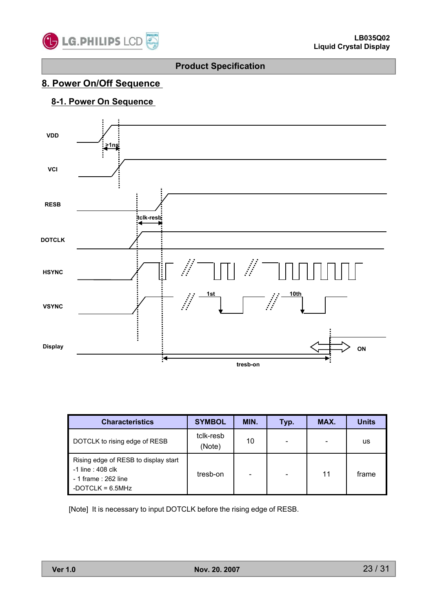![](_page_22_Picture_0.jpeg)

# **8. Power On/Off Sequence**

# **8-1. Power On Sequence**

![](_page_22_Figure_5.jpeg)

| <b>Characteristics</b>                                                                                   | <b>SYMBOL</b>       | MIN. | Typ. | MAX.                     | <b>Units</b> |
|----------------------------------------------------------------------------------------------------------|---------------------|------|------|--------------------------|--------------|
| DOTCLK to rising edge of RESB                                                                            | tclk-resb<br>(Note) | 10   |      | $\overline{\phantom{0}}$ | us           |
| Rising edge of RESB to display start<br>-1 line : 408 clk<br>- 1 frame : 262 line<br>-DOTCLK = $6.5$ MHz | tresb-on            |      |      | 11                       | frame        |

[Note] It is necessary to input DOTCLK before the rising edge of RESB.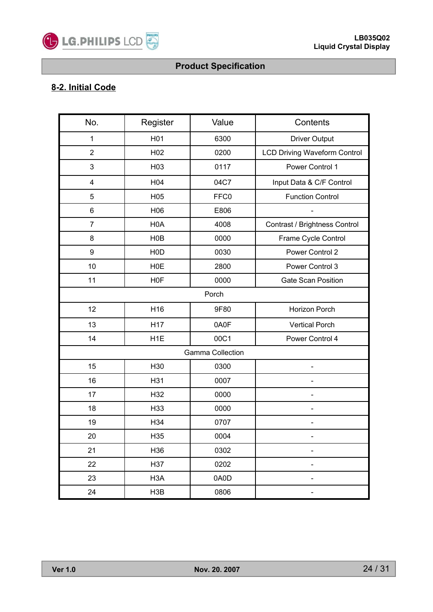![](_page_23_Picture_0.jpeg)

# **8-2. Initial Code**

| No.            | Register         | Value                   | Contents                            |
|----------------|------------------|-------------------------|-------------------------------------|
| 1              | H <sub>01</sub>  | 6300                    | <b>Driver Output</b>                |
| $\overline{2}$ | H <sub>02</sub>  | 0200                    | <b>LCD Driving Waveform Control</b> |
| 3              | H03              | 0117                    | Power Control 1                     |
| 4              | H04              | 04C7                    | Input Data & C/F Control            |
| 5              | H05              | FFC0                    | <b>Function Control</b>             |
| 6              | H06              | E806                    |                                     |
| $\overline{7}$ | H <sub>0</sub> A | 4008                    | Contrast / Brightness Control       |
| 8              | H <sub>0</sub> B | 0000                    | Frame Cycle Control                 |
| 9              | H <sub>0</sub> D | 0030                    | Power Control 2                     |
| 10             | <b>H0E</b>       | 2800                    | Power Control 3                     |
| 11             | H <sub>0</sub> F | 0000                    | <b>Gate Scan Position</b>           |
|                |                  | Porch                   |                                     |
| 12             | H16              | 9F80                    | Horizon Porch                       |
| 13             | H17              | 0A0F                    | <b>Vertical Porch</b>               |
| 14             | H <sub>1</sub> E | 00C1                    | Power Control 4                     |
|                |                  | <b>Gamma Collection</b> |                                     |
| 15             | H30              | 0300                    |                                     |
| 16             | H31              | 0007                    |                                     |
| 17             | H32              | 0000                    |                                     |
| 18             | H33              | 0000                    |                                     |
| 19             | H34              | 0707                    |                                     |
| 20             | H35              | 0004                    |                                     |
| 21             | H36              | 0302                    |                                     |
| 22             | H37              | 0202                    |                                     |
| 23             | H <sub>3</sub> A | 0A0D                    |                                     |
| 24             | H3B              | 0806                    |                                     |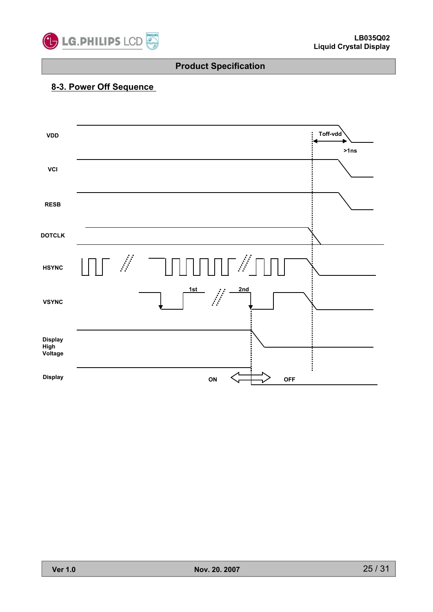![](_page_24_Picture_0.jpeg)

# **8-3. Power Off Sequence**

![](_page_24_Figure_4.jpeg)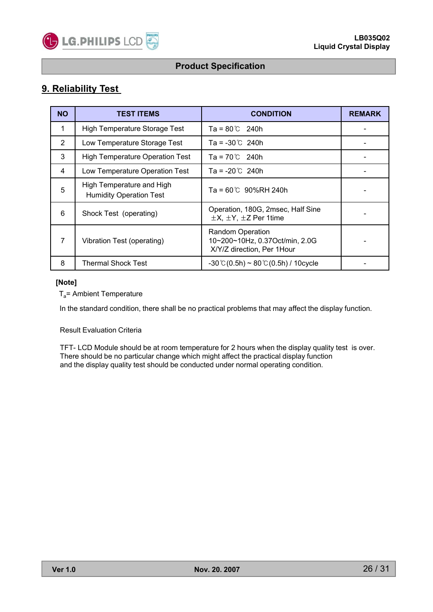![](_page_25_Picture_0.jpeg)

# **9. Reliability Test**

| <b>NO</b> | <b>TEST ITEMS</b>                                           | <b>CONDITION</b>                                                                        | <b>REMARK</b> |
|-----------|-------------------------------------------------------------|-----------------------------------------------------------------------------------------|---------------|
| 1         | <b>High Temperature Storage Test</b>                        | $Ta = 80^{\circ}C$ 240h                                                                 |               |
| 2         | Low Temperature Storage Test                                | $Ta = -30^{\circ}C$ 240h                                                                |               |
| 3         | <b>High Temperature Operation Test</b>                      | $Ta = 70^{\circ}C$ 240h                                                                 |               |
| 4         | Low Temperature Operation Test                              | $Ta = -20^{\circ}C$ 240h                                                                |               |
| 5         | High Temperature and High<br><b>Humidity Operation Test</b> | $Ta = 60^{\circ}C$ 90%RH 240h                                                           |               |
| 6         | Shock Test (operating)                                      | Operation, 180G, 2msec, Half Sine<br>$\pm X$ , $\pm Y$ , $\pm Z$ Per 1time              |               |
| 7         | Vibration Test (operating)                                  | <b>Random Operation</b><br>10~200~10Hz, 0.37Oct/min, 2.0G<br>X/Y/Z direction, Per 1Hour |               |
| 8         | Thermal Shock Test                                          | $-30^{\circ}$ C $(0.5h) \sim 80^{\circ}$ C $(0.5h)$ / 10cycle                           |               |

#### **[Note]**

 $T_a$ = Ambient Temperature

In the standard condition, there shall be no practical problems that may affect the display function.

#### Result Evaluation Criteria

TFT- LCD Module should be at room temperature for 2 hours when the display quality test is over. There should be no particular change which might affect the practical display function and the display quality test should be conducted under normal operating condition.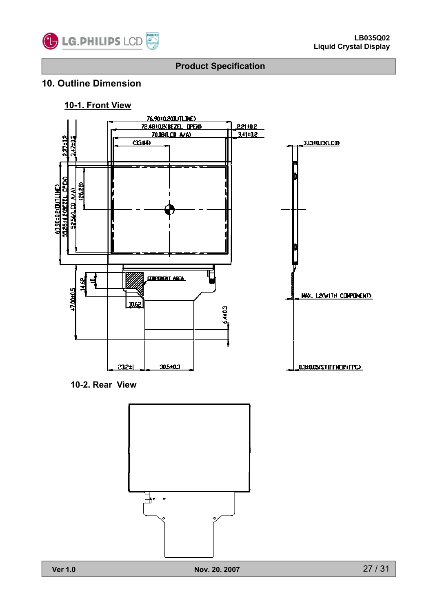![](_page_26_Picture_0.jpeg)

# **10. Outline Dimension**

#### **10-1. Front View**

![](_page_26_Figure_5.jpeg)

**10-2. Rear View**

![](_page_26_Figure_7.jpeg)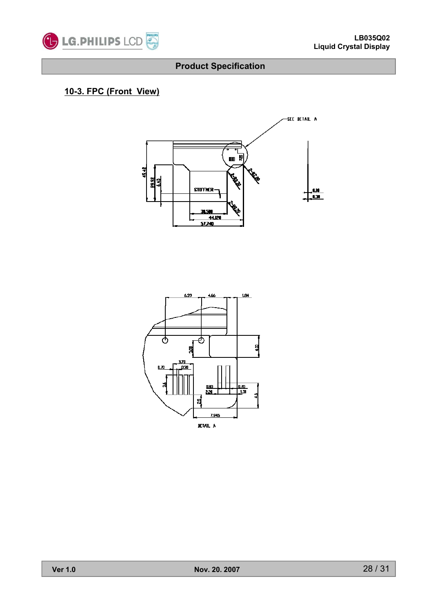![](_page_27_Picture_0.jpeg)

# **10-3. FPC (Front View) 3. FPC (Front**

![](_page_27_Figure_4.jpeg)

![](_page_27_Figure_5.jpeg)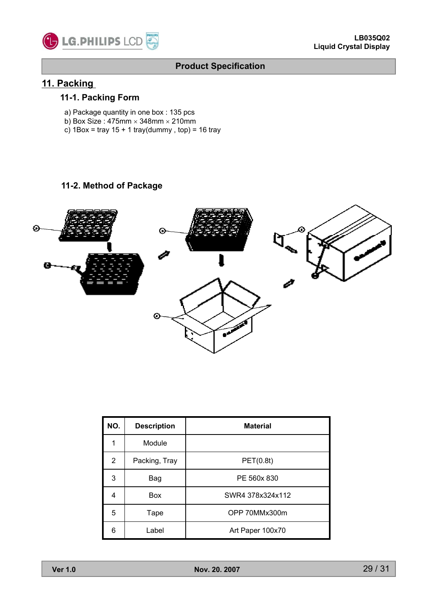![](_page_28_Picture_0.jpeg)

![](_page_28_Picture_1.jpeg)

# **11. Packing**

### **11-1. Packing Form**

- a) Package quantity in one box : 135 pcs
- b) Box Size:  $475$ mm  $\times$  348mm  $\times$  210mm
- c)  $1Box = \text{tray } 15 + 1 \text{tray}( \text{dummy} , \text{top}) = 16 \text{tray}$

#### **11-2. Method of Package**

![](_page_28_Figure_9.jpeg)

| NO.            | <b>Description</b> | <b>Material</b>  |
|----------------|--------------------|------------------|
| 1              | Module             |                  |
| $\overline{2}$ | Packing, Tray      | PET(0.8t)        |
| 3              | Bag                | PE 560x 830      |
| 4              | <b>Box</b>         | SWR4 378x324x112 |
| 5              | Tape               | OPP 70MMx300m    |
| 6              | Label              | Art Paper 100x70 |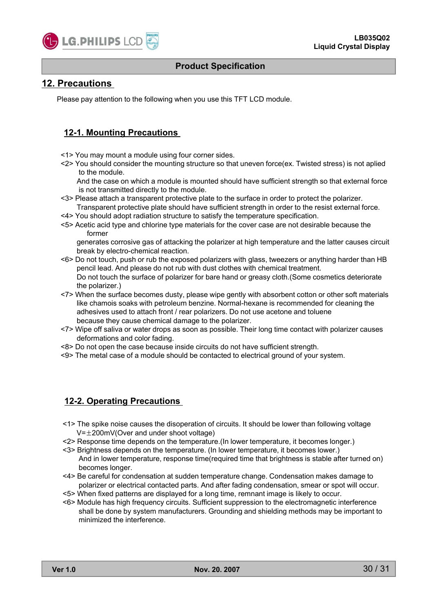![](_page_29_Picture_0.jpeg)

#### **12. Precautions**

Please pay attention to the following when you use this TFT LCD module.

#### **12-1. Mounting Precautions**

- <1> You may mount a module using four corner sides.
- $\langle$ 2> You should consider the mounting structure so that uneven force(ex. Twisted stress) is not aplied to the module.

And the case on which a module is mounted should have sufficient strength so that external force is not transmitted directly to the module.

- <3> Please attach a transparent protective plate to the surface in order to protect the polarizer. Transparent protective plate should have sufficient strength in order to the resist external force.
- <4> You should adopt radiation structure to satisfy the temperature specification.
- <5> Acetic acid type and chlorine type materials for the cover case are not desirable because the former

generates corrosive gas of attacking the polarizer at high temperature and the latter causes circuit break by electro-chemical reaction.

- <6> Do not touch, push or rub the exposed polarizers with glass, tweezers or anything harder than HB pencil lead. And please do not rub with dust clothes with chemical treatment. Do not touch the surface of polarizer for bare hand or greasy cloth.(Some cosmetics deteriorate the polarizer.)
- <7> When the surface becomes dusty, please wipe gently with absorbent cotton or other soft materials like chamois soaks with petroleum benzine. Normal-hexane is recommended for cleaning the adhesives used to attach front / rear polarizers. Do not use acetone and toluene because they cause chemical damage to the polarizer.
- <7> Wipe off saliva or water drops as soon as possible. Their long time contact with polarizer causes deformations and color fading.
- <8> Do not open the case because inside circuits do not have sufficient strength.
- <9> The metal case of a module should be contacted to electrical ground of your system.

#### **12-2. Operating Precautions**

- <1> The spike noise causes the disoperation of circuits. It should be lower than following voltage  $V=\pm 200$ mV(Over and under shoot voltage)
- <2> Response time depends on the temperature.(In lower temperature, it becomes longer.)
- <3> Brightness depends on the temperature. (In lower temperature, it becomes lower.) And in lower temperature, response time(required time that brightness is stable after turned on) becomes longer.
- <4> Be careful for condensation at sudden temperature change. Condensation makes damage to polarizer or electrical contacted parts. And after fading condensation, smear or spot will occur.
- <5> When fixed patterns are displayed for a long time, remnant image is likely to occur.
- <6> Module has high frequency circuits. Sufficient suppression to the electromagnetic interference shall be done by system manufacturers. Grounding and shielding methods may be important to minimized the interference.